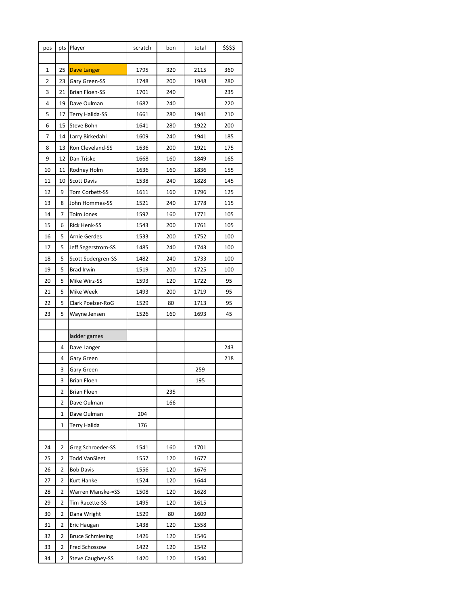| pos | pts            | Player                  | scratch | bon | total | \$\$\$\$ |
|-----|----------------|-------------------------|---------|-----|-------|----------|
|     |                |                         |         |     |       |          |
| 1   | 25             | Dave Langer             | 1795    | 320 | 2115  | 360      |
| 2   | 23             | Gary Green-SS           | 1748    | 200 | 1948  | 280      |
| 3   | 21             | <b>Brian Floen-SS</b>   | 1701    | 240 |       | 235      |
| 4   | 19             | Dave Oulman             | 1682    | 240 |       | 220      |
| 5   | 17             | <b>Terry Halida-SS</b>  | 1661    | 280 | 1941  | 210      |
| 6   | 15             | Steve Bohn              | 1641    | 280 | 1922  | 200      |
| 7   | 14             | Larry Birkedahl         | 1609    | 240 | 1941  | 185      |
| 8   | 13             | Ron Cleveland-SS        | 1636    | 200 | 1921  | 175      |
| 9   | 12             | Dan Triske              | 1668    | 160 | 1849  | 165      |
| 10  | 11             | Rodney Holm             | 1636    | 160 | 1836  | 155      |
| 11  | 10             | <b>Scott Davis</b>      | 1538    | 240 | 1828  | 145      |
| 12  | 9              | Tom Corbett-SS          | 1611    | 160 | 1796  | 125      |
| 13  | 8              | John Hommes-SS          | 1521    | 240 | 1778  | 115      |
| 14  | 7              | Toim Jones              | 1592    | 160 | 1771  | 105      |
| 15  | 6              | <b>Rick Henk-SS</b>     | 1543    | 200 | 1761  | 105      |
| 16  | 5              | <b>Arnie Gerdes</b>     | 1533    | 200 | 1752  | 100      |
| 17  | 5              | Jeff Segerstrom-SS      | 1485    | 240 | 1743  | 100      |
| 18  | 5              | Scott Sodergren-SS      | 1482    | 240 | 1733  | 100      |
| 19  | 5              | <b>Brad Irwin</b>       | 1519    | 200 | 1725  | 100      |
| 20  | 5              | Mike Wirz-SS            | 1593    | 120 | 1722  | 95       |
| 21  | 5              | Mike Week               | 1493    | 200 | 1719  | 95       |
| 22  | 5              | Clark Poelzer-RoG       | 1529    | 80  | 1713  | 95       |
| 23  | 5              | Wayne Jensen            | 1526    | 160 | 1693  | 45       |
|     |                |                         |         |     |       |          |
|     |                | ladder games            |         |     |       |          |
|     | 4              | Dave Langer             |         |     |       | 243      |
|     | 4              | Gary Green              |         |     |       | 218      |
|     | 3              | <b>Gary Green</b>       |         |     | 259   |          |
|     | 3              | <b>Brian Floen</b>      |         |     | 195   |          |
|     | 2              | <b>Brian Floen</b>      |         | 235 |       |          |
|     | 2              | Dave Oulman             |         | 166 |       |          |
|     | 1              | Dave Oulman             | 204     |     |       |          |
|     | 1              | <b>Terry Halida</b>     | 176     |     |       |          |
|     |                |                         |         |     |       |          |
| 24  | 2              | Greg Schroeder-SS       | 1541    | 160 | 1701  |          |
| 25  | 2              | <b>Todd VanSleet</b>    | 1557    | 120 | 1677  |          |
| 26  | 2              | <b>Bob Davis</b>        | 1556    | 120 | 1676  |          |
| 27  | 2              | Kurt Hanke              | 1524    | 120 | 1644  |          |
| 28  | 2              | Warren Manske-=SS       | 1508    | 120 | 1628  |          |
| 29  | 2              | Tim Racette-SS          | 1495    | 120 | 1615  |          |
| 30  | $\overline{2}$ | Dana Wright             | 1529    | 80  | 1609  |          |
| 31  | $\overline{2}$ | Eric Haugan             | 1438    | 120 | 1558  |          |
| 32  | 2              | <b>Bruce Schmiesing</b> | 1426    | 120 | 1546  |          |
| 33  | 2              | Fred Schossow           | 1422    | 120 | 1542  |          |
| 34  | $\overline{2}$ | Steve Caughey-SS        | 1420    | 120 | 1540  |          |